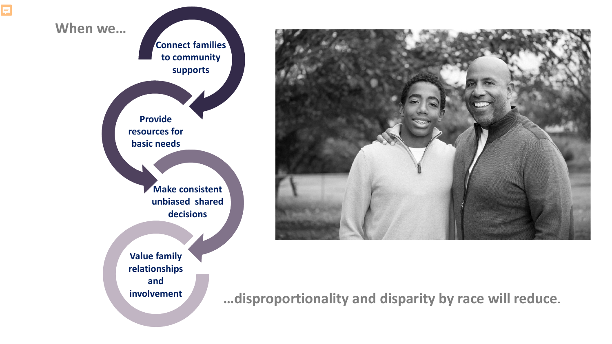

F



**…disproportionality and disparity by race will reduce.**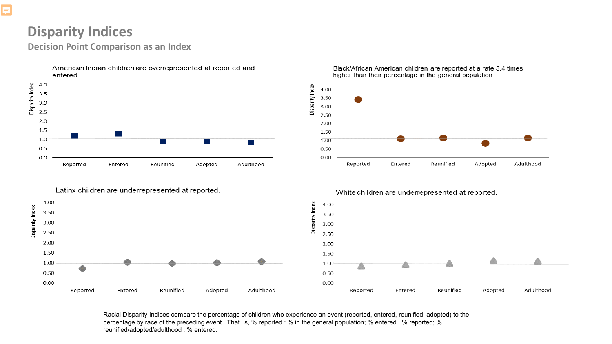### **Disparity Indices**

**Decision Point Comparison as an Index**



Black/African American children are reported at a rate 3.4 times higher than their percentage in the general population.



### Latinx children are underrepresented at reported.



Racial Disparity Indices compare the percentage of children who experience an event (reported, entered, reunified, adopted) to the percentage by race of the preceding event. That is, % reported : % in the general population; % entered : % reported; % reunified/adopted/adulthood : % entered.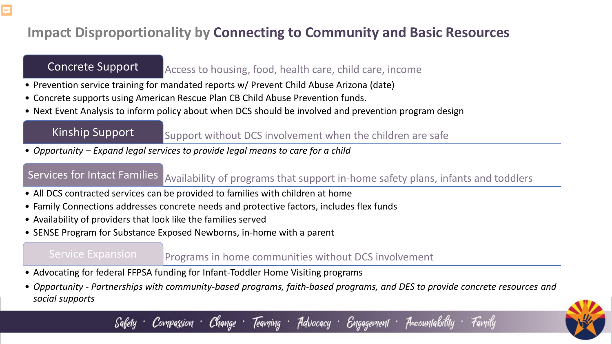## **Impact Disproportionality by Connecting to Community and Basic Resources**

F

Concrete Support Access to housing, food, health care, child care, income

- Prevention service training for mandated reports w/ Prevent Child Abuse Arizona (date)
- Concrete supports using American Rescue Plan CB Child Abuse Prevention funds.
- Next Event Analysis to inform policy about when DCS should be involved and prevention program design

Kinship Support Support without DCS involvement when the children are safe

• *Opportunity – Expand legal services to provide legal means to care for a child*

Services for Intact Families Availability of programs that support in-home safety plans, infants and toddlers

- All DCS contracted services can be provided to families with children at home
- Family Connections addresses concrete needs and protective factors, includes flex funds
- Availability of providers that look like the families served
- SENSE Program for Substance Exposed Newborns, in-home with a parent

**Service Expansion** Programs in home communities without DCS involvement

- Advocating for federal FFPSA funding for Infant-Toddler Home Visiting programs
- *Opportunity - Partnerships with community-based programs, faith-based programs, and DES to provide concrete resources and social supports*

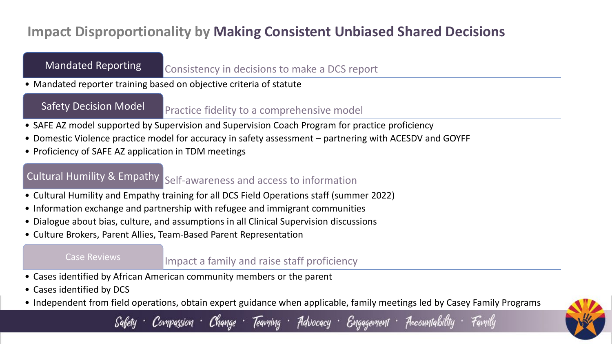## **Impact Disproportionality by Making Consistent Unbiased Shared Decisions**

Mandated Reporting Consistency in decisions to make a DCS report

• Mandated reporter training based on objective criteria of statute

Safety Decision Model Practice fidelity to a comprehensive model

- SAFE AZ model supported by Supervision and Supervision Coach Program for practice proficiency
- Domestic Violence practice model for accuracy in safety assessment partnering with ACESDV and GOYFF
- Proficiency of SAFE AZ application in TDM meetings

# Cultural Humility & Empathy Self-awareness and access to information

- Cultural Humility and Empathy training for all DCS Field Operations staff (summer 2022)
- Information exchange and partnership with refugee and immigrant communities
- Dialogue about bias, culture, and assumptions in all Clinical Supervision discussions
- Culture Brokers, Parent Allies, Team-Based Parent Representation

Case Reviews **Example 2** Impact a family and raise staff proficiency

- Cases identified by African American community members or the parent
- Cases identified by DCS
- Independent from field operations, obtain expert guidance when applicable, family meetings led by Casey Family Programs